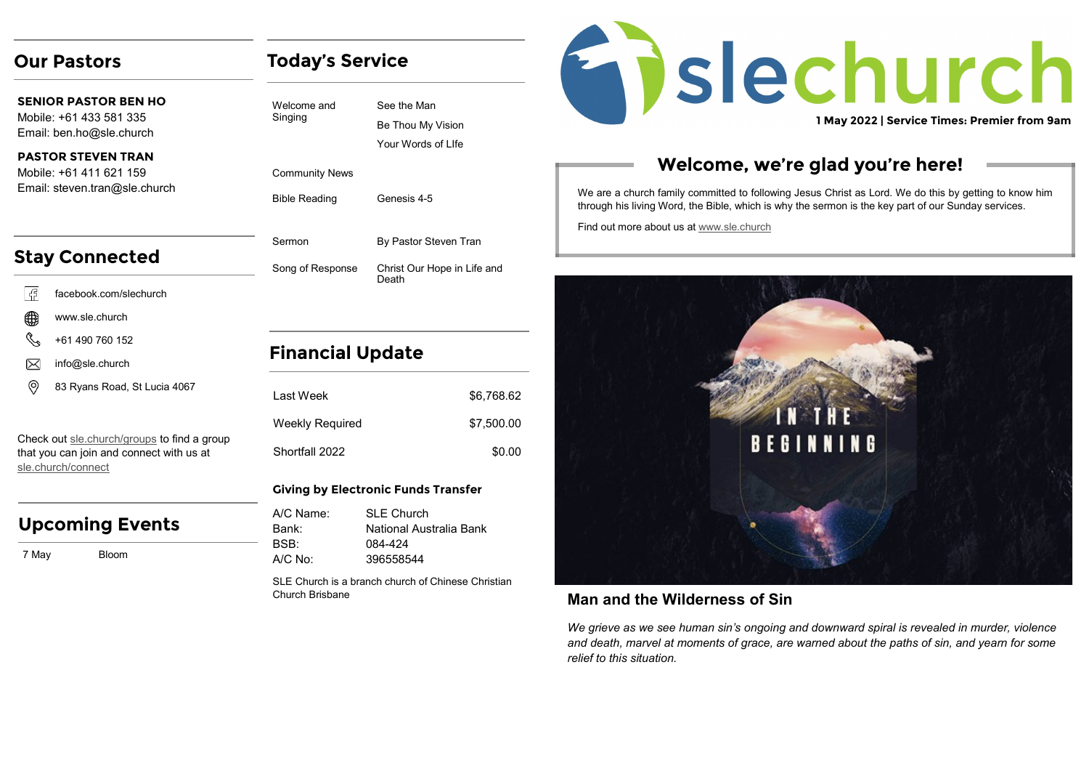## **Our Pastors**

**SENIOR PASTOR BEN HO** Mobile: +61 433 581 335 Email: ben.ho@sle.church

#### **PASTOR STEVEN TRAN**  Mobile: +61 411 621 159 Email: steven.tran@sle.church

# **Stay Connected**

- l G facebook.com/slechurch
- www.sle.church
- +61 490 760 152
- info@sle.church ⋉
- ⊚ 83 Ryans Road, St Lucia 4067

Check out [sle.church/groups](https://sle.church/groups) to find a group that you can join and connect with us at [sle.church/connect](https://sle.church/connect)

## **Upcoming Events**

7 May Bloom

## **Today's Service**

See the Man Be Thou My Vision Your Words of LIfe

Community News

Welcome and Singing

Bible Reading Genesis 4-5

Sermon By Pastor Steven Tran Song of Response Christ Our Hope in Life and Death

## **Financial Update**

| I ast Week      | \$6,768.62 |
|-----------------|------------|
| Weekly Required | \$7,500.00 |
| Shortfall 2022  | \$0.00     |

#### **Giving by Electronic Funds Transfer**

| A/C Name: | SI F Church             |
|-----------|-------------------------|
| Bank:     | National Australia Bank |
| BSB:      | 084-424                 |
| A/C No:   | 396558544               |

SLE Church is a branch church of Chinese Christian Church Brisbane

# Enslechurch **1 May 2022 | Service Times: Premier from 9am**

## **Welcome, we're glad you're here!**

We are a church family committed to following Jesus Christ as Lord. We do this by getting to know him through his living Word, the Bible, which is why the sermon is the key part of our Sunday services.

Find out more about us at [www.sle.church](https://sle.church/)



### **Man and the Wilderness of Sin**

*We grieve as we see human sin's ongoing and downward spiral is revealed in murder, violence and death, marvel at moments of grace, are warned about the paths of sin, and yearn for some relief to this situation.*